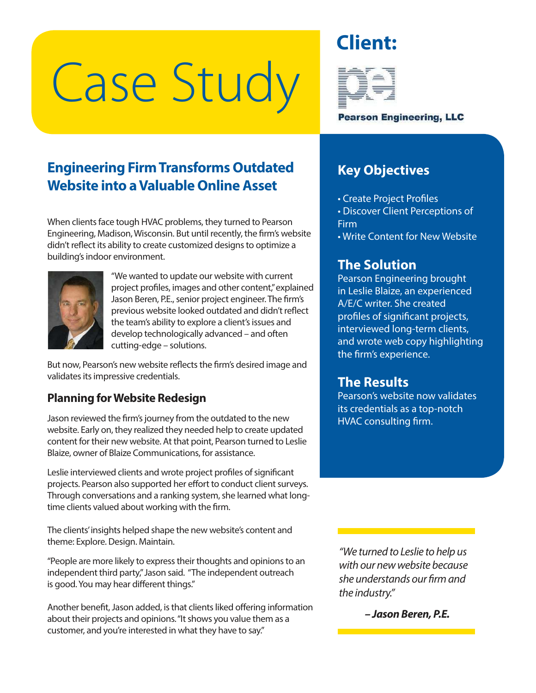# Case Study





**Pearson Engineering, LLC** 

## **Engineering Firm Transforms Outdated Website into a Valuable Online Asset**

When clients face tough HVAC problems, they turned to Pearson Engineering, Madison, Wisconsin. But until recently, the firm's website didn't reflect its ability to create customized designs to optimize a building's indoor environment.



"We wanted to update our website with current project profiles, images and other content," explained Jason Beren, P.E., senior project engineer. The firm's previous website looked outdated and didn't reflect the team's ability to explore a client's issues and develop technologically advanced – and often cutting-edge – solutions.

But now, Pearson's new website reflects the firm's desired image and validates its impressive credentials.

#### **Planning for Website Redesign**

Jason reviewed the firm's journey from the outdated to the new website. Early on, they realized they needed help to create updated content for their new website. At that point, Pearson turned to Leslie Blaize, owner of Blaize Communications, for assistance.

Leslie interviewed clients and wrote project profiles of significant projects. Pearson also supported her effort to conduct client surveys. Through conversations and a ranking system, she learned what longtime clients valued about working with the firm.

The clients' insights helped shape the new website's content and theme: Explore. Design. Maintain.

"People are more likely to express their thoughts and opinions to an independent third party," Jason said. "The independent outreach is good. You may hear different things."

Another benefit, Jason added, is that clients liked offering information about their projects and opinions. "It shows you value them as a customer, and you're interested in what they have to say."

## **Key Objectives**

- Create Project Profiles
- Discover Client Perceptions of Firm
- Write Content for New Website

## **The Solution**

Pearson Engineering brought in Leslie Blaize, an experienced A/E/C writer. She created profiles of significant projects, interviewed long-term clients, and wrote web copy highlighting the firm's experience.

#### **The Results**

Pearson's website now validates its credentials as a top-notch HVAC consulting firm.

"We turned to Leslie to help us with our new website because she understands our firm and the industry."

**– Jason Beren, P.E.**